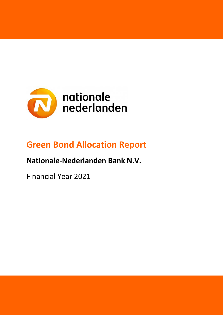

## **Green Bond Allocation Report**

**Nationale-Nederlanden Bank N.V.**

Financial Year 2021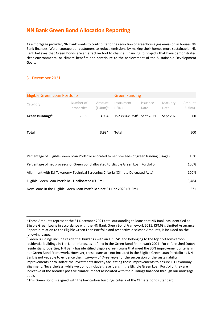### **NN Bank Green Bond Allocation Reporting**

As a mortgage provider, NN Bank wants to contribute to the reduction of greenhouse gas emission in houses NN Bank finances. We encourage our customers to reduce emissions by making their homes more sustainable. NN Bank believes that Green Bonds are an effective tool to channel financing to projects that have demonstrated clear environmental or climate benefits and contribute to the achievement of the Sustainable Development Goals.

#### 31 December 2021

| Eligible Green Loan Portfolio |                         |                      | <b>Green Funding</b>                |                  |                  |                  |
|-------------------------------|-------------------------|----------------------|-------------------------------------|------------------|------------------|------------------|
| Category                      | Number of<br>properties | Amount<br>$(EURm)^1$ | Instrument<br>$($ ISIN $)$          | Issuance<br>Date | Maturity<br>Date | Amount<br>(EURm) |
| Green Buildings <sup>2</sup>  | 13,395                  | 3,984                | XS2388449758 <sup>3</sup> Sept 2021 |                  | Sept 2028        | 500              |
| <b>Total</b>                  |                         | 3,984                | <b>Total</b>                        |                  |                  | 500              |

| Percentage of Eligible Green Loan Portfolio allocated to net proceeds of green funding (usage): | 13%   |
|-------------------------------------------------------------------------------------------------|-------|
| Percentage of net proceeds of Green Bond allocated to Eligible Green Loan Portfolio:            | 100%  |
| Alignment with EU Taxonomy Technical Screening Criteria (Climate Delegated Acts)                | 100%  |
| Eligible Green Loan Portfolio - Unallocated (EURm)                                              | 3,484 |
| New Loans in the Eligible Green Loan Portfolio since 31 Dec 2020 (EURm)                         | 571   |

<sup>1</sup> These Amounts represent the 31 December 2021 total outstanding to loans that NN Bank has identified as Eligible Green Loans in accordance with the NN Bank Green Bond Framework 2021. KPMG's Limited Assurance Report in relation to the Eligible Green Loan Portfolio and respective disclosed Amounts, is included on the following pages.

<sup>&</sup>lt;sup>2</sup> Green Buildings include residential buildings with an EPC "A" and belonging to the top 15% low-carbon residential buildings in The Netherlands, as defined in the Green Bond Framework 2021. For refurbished Dutch residential properties, NN Bank has identified Eligible Green Loans that meet the 30% improvement criteria in our Green Bond Framework. However, these loans are not included in the Eligible Green Loan Portfolio as NN Bank is not yet able to evidence the *maximum of three years* for the succession of the sustainability improvements or to isolate the investments directly facilitating those improvements to ensure EU Taxonomy alignment. Nevertheless, while we do not include these loans in the Eligible Green Loan Portfolio, they are indicative of the broader positive climate impact associated with the buildings financed through our mortgage book.

<sup>&</sup>lt;sup>3</sup> This Green Bond is aligned with the low carbon buildings criteria of the Climate Bonds Standard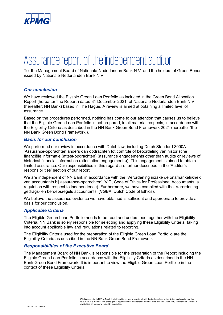

# Assurance report of the independent auditor

To: the Management Board of Nationale-Nederlanden Bank N.V. and the holders of Green Bonds issued by Nationale-Nederlanden Bank N.V.

#### *Our conclusion*

We have reviewed the Eligible Green Loan Portfolio as included in the Green Bond Allocation Report (hereafter 'the Report') dated 31 December 2021, of Nationale-Nederlanden Bank N.V. (hereafter: NN Bank) based in The Hague. A review is aimed at obtaining a limited level of assurance.

Based on the procedures performed, nothing has come to our attention that causes us to believe that the Eligible Green Loan Portfolio is not prepared, in all material respects, in accordance with the Eligibility Criteria as described in the NN Bank Green Bond Framework 2021 (hereafter 'the NN Bank Green Bond Framework').

#### *Basis for our conclusion*

We performed our review in accordance with Dutch law, including Dutch Standard 3000A 'Assurance-opdrachten anders dan opdrachten tot controle of beoordeling van historische financiële informatie (attest-opdrachten) (assurance engagements other than audits or reviews of historical financial information (attestation engagements)). This engagement is aimed to obtain limited assurance. Our responsibilities in this regard are further described in the 'Auditor's responsibilities' section of our report.

We are independent of NN Bank in accordance with the 'Verordening inzake de onafhankelijkheid van accountants bij assurance-opdrachten' (ViO, Code of Ethics for Professional Accountants, a regulation with respect to independence). Furthermore, we have complied with the 'Verordening gedrags- en beroepsregels accountants' (VGBA, Dutch Code of Ethics).

We believe the assurance evidence we have obtained is sufficient and appropriate to provide a basis for our conclusion.

#### *Applicable Criteria*

The Eligible Green Loan Portfolio needs to be read and understood together with the Eligibility Criteria. NN Bank is solely responsible for selecting and applying these Eligibility Criteria, taking into account applicable law and regulations related to reporting.

The Eligibility Criteria used for the preparation of the Eligible Green Loan Portfolio are the Eligibility Criteria as described in the NN Bank Green Bond Framework.

#### *Responsibilities of the Executive Board*

The Management Board of NN Bank is responsible for the preparation of the Report including the Eligible Green Loan Portfolio in accordance with the Eligibility Criteria as described in the NN Bank Green Bond Framework. It is important to view the Eligible Green Loan Portfolio in the context of these Eligibility Criteria.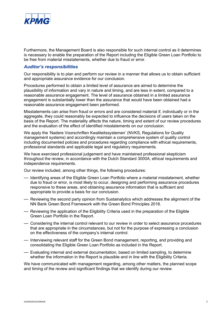

Furthermore, the Management Board is also responsible for such internal control as it determines is necessary to enable the preparation of the Report including the Eligible Green Loan Portfolio to be free from material misstatements, whether due to fraud or error.

#### *Auditor's responsibilities*

Our responsibility is to plan and perform our review in a manner that allows us to obtain sufficient and appropriate assurance evidence for our conclusion.

Procedures performed to obtain a limited level of assurance are aimed to determine the plausibility of information and vary in nature and timing, and are less in extent, compared to a reasonable assurance engagement. The level of assurance obtained in a limited assurance engagement is substantially lower than the assurance that would have been obtained had a reasonable assurance engagement been performed.

Misstatements can arise from fraud or errors and are considered material if, individually or in the aggregate, they could reasonably be expected to influence the decisions of users taken on the basis of the Report. The materiality affects the nature, timing and extent of our review procedures and the evaluation of the effect of identified misstatements on our conclusion.

We apply the 'Nadere Voorschriften Kwaliteitssystemen' (NVKS, Regulations for Quality management systems) and accordingly maintain a comprehensive system of quality control including documented policies and procedures regarding compliance with ethical requirements, professional standards and applicable legal and regulatory requirements.

We have exercised professional judgement and have maintained professional skepticism throughout the review, in accordance with the Dutch Standard 3000A, ethical requirements and independence requirements.

Our review included, among other things, the following procedures:

- Identifying areas of the Eligible Green Loan Portfolio where a material misstatement, whether due to fraud or error, is most likely to occur, designing and performing assurance procedures responsive to these areas, and obtaining assurance information that is sufficient and appropriate to provide a basis for our conclusion.
- Reviewing the second party opinion from Sustainalytics which addresses the alignment of the NN Bank Green Bond Framework with the Green Bond Principles 2018.
- Reviewing the application of the Eligibility Criteria used in the preparation of the Eligible Green Loan Portfolio in the Report.
- Considering the internal control relevant to our review in order to select assurance procedures that are appropriate in the circumstances, but not for the purpose of expressing a conclusion on the effectiveness of the company's internal control.
- Interviewing relevant staff for the Green Bond management, reporting, and providing and consolidating the Eligible Green Loan Portfolio as included in the Report.
- Evaluating internal and external documentation, based on limited sampling, to determine whether the information in the Report is plausible and in line with the Eligibility Criteria.

We have communicated with management regarding, among other matters, the planned scope and timing of the review and significant findings that we identify during our review.